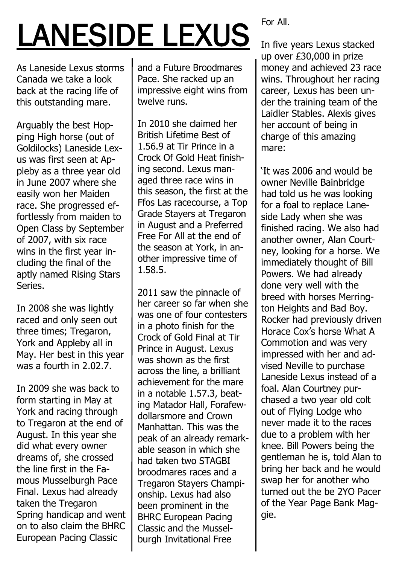## LANESIDE LEXUS

As Laneside Lexus storms Canada we take a look back at the racing life of this outstanding mare.

Arguably the best Hopping High horse (out of Goldilocks) Laneside Lexus was first seen at Appleby as a three year old in June 2007 where she easily won her Maiden race. She progressed effortlessly from maiden to Open Class by September of 2007, with six race wins in the first year including the final of the aptly named Rising Stars Series.

In 2008 she was lightly raced and only seen out three times; Tregaron, York and Appleby all in May. Her best in this year was a fourth in 2.02.7.

In 2009 she was back to form starting in May at York and racing through to Tregaron at the end of August. In this year she did what every owner dreams of, she crossed the line first in the Famous Musselburgh Pace Final. Lexus had already taken the Tregaron Spring handicap and went on to also claim the BHRC European Pacing Classic

and a Future Broodmares Pace. She racked up an impressive eight wins from twelve runs.

In 2010 she claimed her British Lifetime Best of 1.56.9 at Tir Prince in a Crock Of Gold Heat finishing second. Lexus managed three race wins in this season, the first at the Ffos Las racecourse, a Top Grade Stayers at Tregaron in August and a Preferred Free For All at the end of the season at York, in another impressive time of 1.58.5.

2011 saw the pinnacle of her career so far when she was one of four contesters in a photo finish for the Crock of Gold Final at Tir Prince in August. Lexus was shown as the first across the line, a brilliant achievement for the mare in a notable 1.57.3, beating Matador Hall, Forafewdollarsmore and Crown Manhattan. This was the peak of an already remarkable season in which she had taken two STAGBI broodmares races and a Tregaron Stayers Championship. Lexus had also been prominent in the BHRC European Pacing Classic and the Musselburgh Invitational Free

For All.

In five years Lexus stacked up over £30,000 in prize money and achieved 23 race wins. Throughout her racing career, Lexus has been under the training team of the Laidler Stables. Alexis gives her account of being in charge of this amazing mare:

'It was 2006 and would be owner Neville Bainbridge had told us he was looking for a foal to replace Laneside Lady when she was finished racing. We also had another owner, Alan Courtney, looking for a horse. We immediately thought of Bill Powers. We had already done very well with the breed with horses Merrington Heights and Bad Boy. Rocker had previously driven Horace Cox's horse What A Commotion and was very impressed with her and advised Neville to purchase Laneside Lexus instead of a foal. Alan Courtney purchased a two year old colt out of Flying Lodge who never made it to the races due to a problem with her knee. Bill Powers being the gentleman he is, told Alan to bring her back and he would swap her for another who turned out the be 2YO Pacer of the Year Page Bank Maggie.